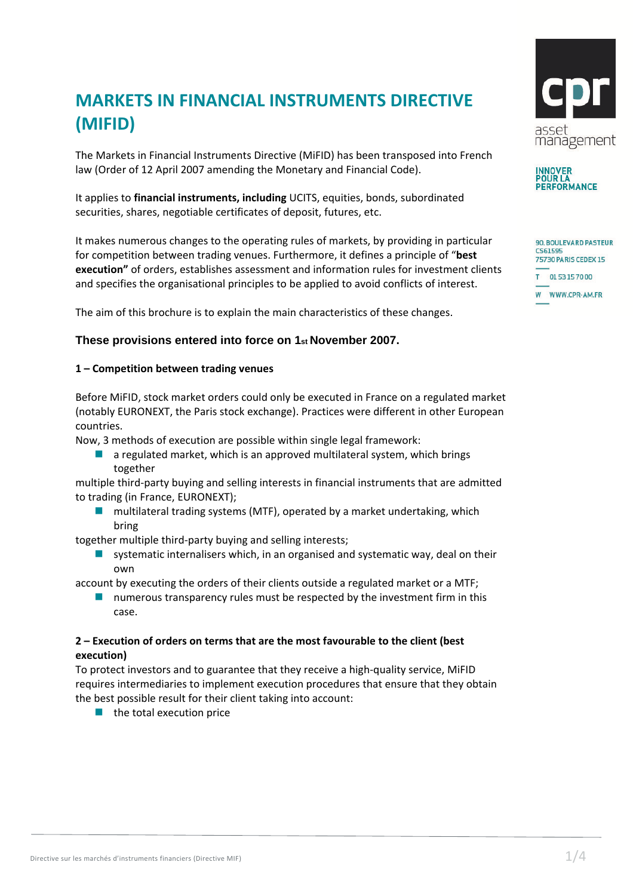# **MARKETS IN FINANCIAL INSTRUMENTS DIRECTIVE (MIFID)**

The Markets in Financial Instruments Directive (MiFID) has been transposed into French law (Order of 12 April 2007 amending the Monetary and Financial Code).

It applies to **financial instruments, including** UCITS, equities, bonds, subordinated securities, shares, negotiable certificates of deposit, futures, etc.

It makes numerous changes to the operating rules of markets, by providing in particular for competition between trading venues. Furthermore, it defines a principle of "**best execution"** of orders, establishes assessment and information rules for investment clients and specifies the organisational principles to be applied to avoid conflicts of interest.

The aim of this brochure is to explain the main characteristics of these changes.

## **These provisions entered into force on 1st November 2007.**

#### **1 – Competition between trading venues**

Before MiFID, stock market orders could only be executed in France on a regulated market (notably EURONEXT, the Paris stock exchange). Practices were different in other European countries.

Now, 3 methods of execution are possible within single legal framework:

 $\blacksquare$  a regulated market, which is an approved multilateral system, which brings together

multiple third-party buying and selling interests in financial instruments that are admitted to trading (in France, EURONEXT);

 multilateral trading systems (MTF), operated by a market undertaking, which bring

together multiple third-party buying and selling interests;

**Systematic internalisers which, in an organised and systematic way, deal on their** own

account by executing the orders of their clients outside a regulated market or a MTF;

**numerous transparency rules must be respected by the investment firm in this** case.

### **2 – Execution of orders on terms that are the most favourable to the client (best execution)**

To protect investors and to guarantee that they receive a high-quality service, MiFID requires intermediaries to implement execution procedures that ensure that they obtain the best possible result for their client taking into account:

 $\blacksquare$  the total execution price





| <b>90. BOULEVARD PASTEUR</b><br>CS61595<br>75730 PARIS CEDEX 15 |                 |
|-----------------------------------------------------------------|-----------------|
|                                                                 | T 0153157000    |
|                                                                 | W WWW.CPR-AM.FR |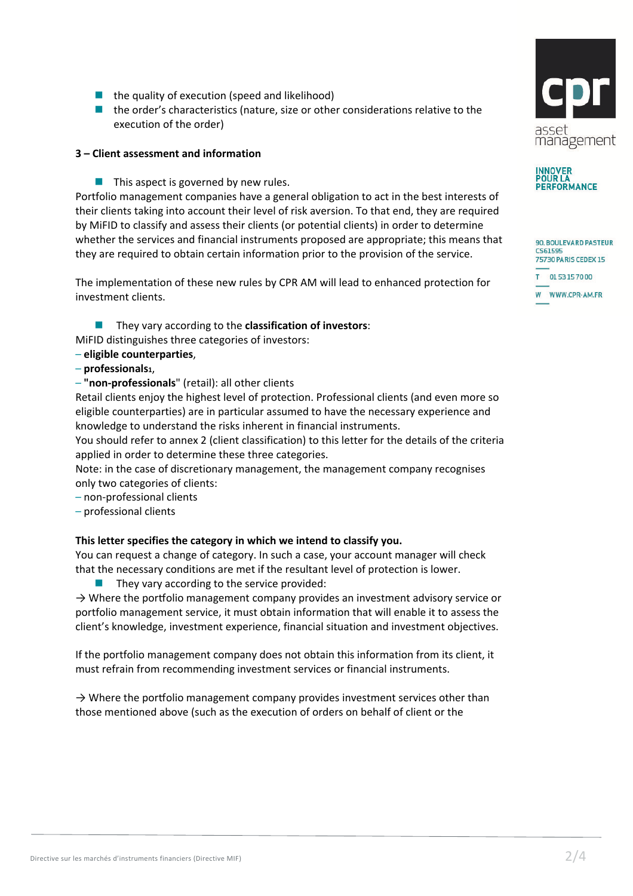- $\blacksquare$  the quality of execution (speed and likelihood)
- the order's characteristics (nature, size or other considerations relative to the execution of the order)

#### **3 – Client assessment and information**

 $\blacksquare$  This aspect is governed by new rules.

Portfolio management companies have a general obligation to act in the best interests of their clients taking into account their level of risk aversion. To that end, they are required by MiFID to classify and assess their clients (or potential clients) in order to determine whether the services and financial instruments proposed are appropriate; this means that they are required to obtain certain information prior to the provision of the service.

The implementation of these new rules by CPR AM will lead to enhanced protection for investment clients.

**They vary according to the classification of investors:** MiFID distinguishes three categories of investors:

- **eligible counterparties**,
- **professionals1**,
- **"non-professionals**" (retail): all other clients

Retail clients enjoy the highest level of protection. Professional clients (and even more so eligible counterparties) are in particular assumed to have the necessary experience and knowledge to understand the risks inherent in financial instruments.

You should refer to annex 2 (client classification) to this letter for the details of the criteria applied in order to determine these three categories.

Note: in the case of discretionary management, the management company recognises only two categories of clients:

- non-professional clients
- professional clients

#### **This letter specifies the category in which we intend to classify you.**

You can request a change of category. In such a case, your account manager will check that the necessary conditions are met if the resultant level of protection is lower.

They vary according to the service provided:

 $\rightarrow$  Where the portfolio management company provides an investment advisory service or portfolio management service, it must obtain information that will enable it to assess the client's knowledge, investment experience, financial situation and investment objectives.

If the portfolio management company does not obtain this information from its client, it must refrain from recommending investment services or financial instruments.

 $\rightarrow$  Where the portfolio management company provides investment services other than those mentioned above (such as the execution of orders on behalf of client or the





90, BOULEVARD PASTEUR CS61595 75730 PARIS CEDEX 15 T 0153157000 W WWW.CPR-AM.FR